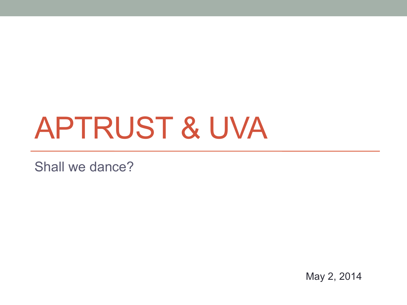# APTRUST & UVA

Shall we dance?

May 2, 2014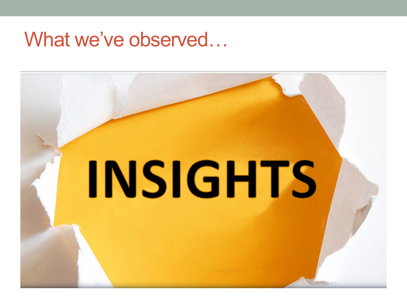### What we've observed...

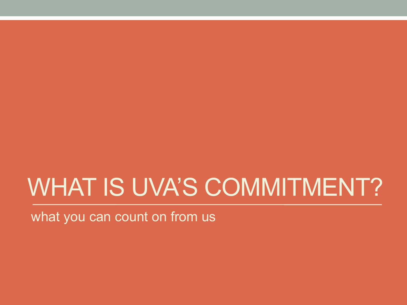## WHAT IS UVA'S COMMITMENT?

what you can count on from us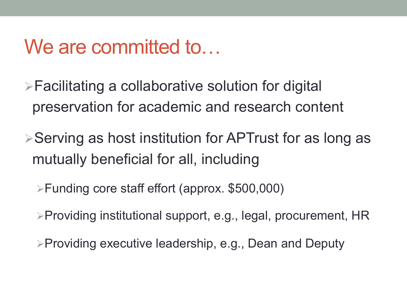### We are committed to...

 $\triangleright$  Facilitating a collaborative solution for digital preservation for academic and research content

 $\triangleright$  Serving as host institution for APTrust for as long as mutually beneficial for all, including

 $\blacktriangleright$  Funding core staff effort (approx. \$500,000)

ØProviding institutional support, e.g., legal, procurement, HR

 $\triangleright$  Providing executive leadership, e.g., Dean and Deputy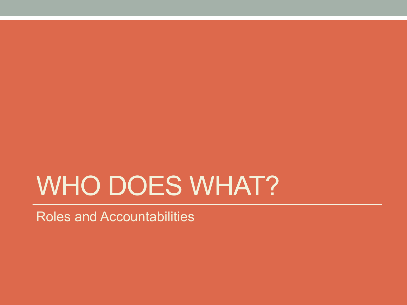## WHO DOES WHAT?

Roles and Accountabilities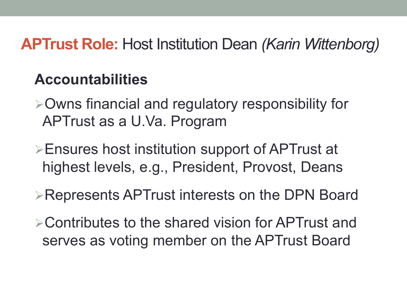#### **APTrust Role:** Host Institution Dean *(Karin Wittenborg)*

#### **Accountabilities**

- $\geq$ Owns financial and regulatory responsibility for APTrust as a U.Va. Program
- **Ensures host institution support of APTrust at** highest levels, e.g., President, Provost, Deans
- ØRepresents APTrust interests on the DPN Board
- $\triangleright$  Contributes to the shared vision for APTrust and serves as voting member on the APTrust Board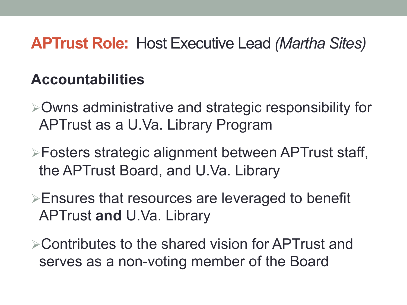#### **APTrust Role:** Host Executive Lead *(Martha Sites)*

#### **Accountabilities**

- $\geq$ Owns administrative and strategic responsibility for APTrust as a U.Va. Library Program
- ØFosters strategic alignment between APTrust staff, the APTrust Board, and U.Va. Library
- $\triangleright$  Ensures that resources are leveraged to benefit APTrust **and** U.Va. Library
- $\triangleright$  Contributes to the shared vision for APTrust and serves as a non-voting member of the Board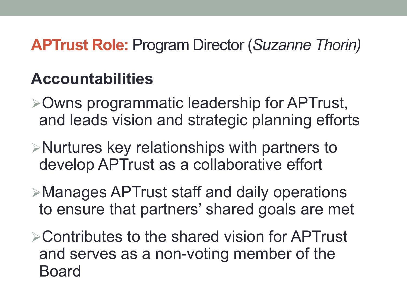#### **APTrust Role:** Program Director (*Suzanne Thorin)*

### **Accountabilities**

- ØOwns programmatic leadership for APTrust, and leads vision and strategic planning efforts
- $\triangleright$  Nurtures key relationships with partners to develop APTrust as a collaborative effort
- $\triangleright$  Manages APTrust staff and daily operations to ensure that partners' shared goals are met
- $\triangleright$  Contributes to the shared vision for APTrust and serves as a non-voting member of the Board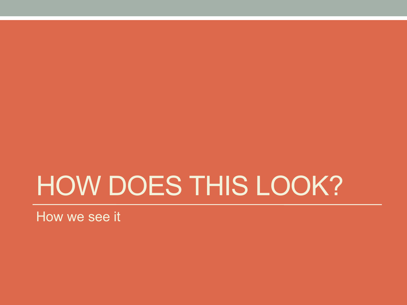## HOW DOES THIS LOOK?

How we see it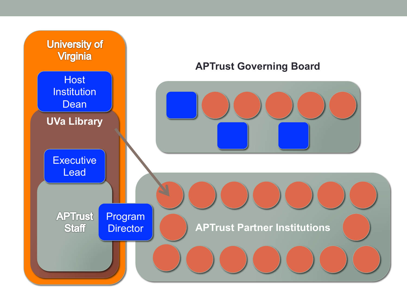